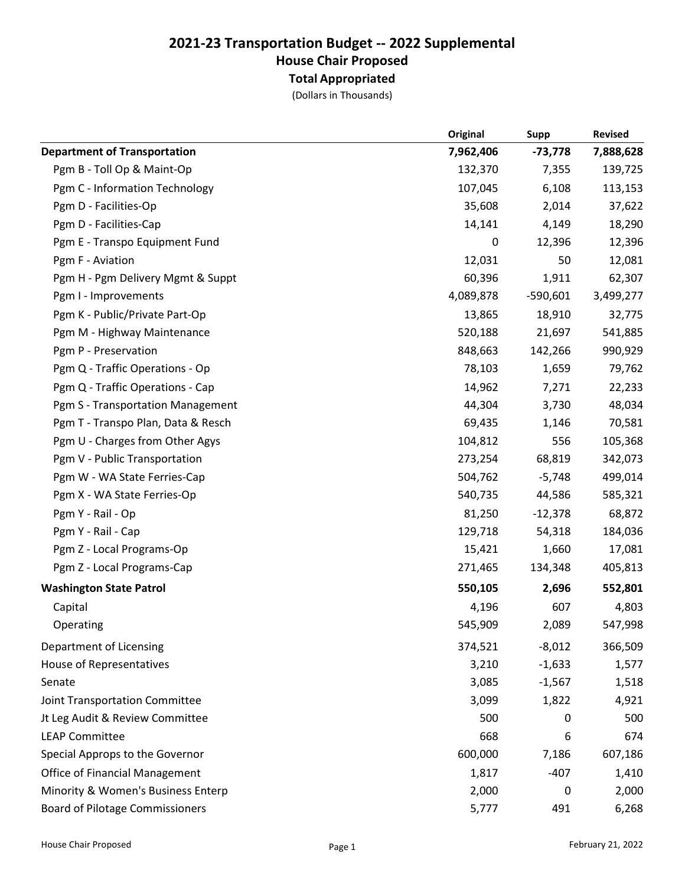## 2021-23 Transportation Budget -- 2022 Supplemental House Chair Proposed Total Appropriated

(Dollars in Thousands)

|                                        | Original  | Supp       | <b>Revised</b> |
|----------------------------------------|-----------|------------|----------------|
| <b>Department of Transportation</b>    | 7,962,406 | $-73,778$  | 7,888,628      |
| Pgm B - Toll Op & Maint-Op             | 132,370   | 7,355      | 139,725        |
| Pgm C - Information Technology         | 107,045   | 6,108      | 113,153        |
| Pgm D - Facilities-Op                  | 35,608    | 2,014      | 37,622         |
| Pgm D - Facilities-Cap                 | 14,141    | 4,149      | 18,290         |
| Pgm E - Transpo Equipment Fund         | 0         | 12,396     | 12,396         |
| Pgm F - Aviation                       | 12,031    | 50         | 12,081         |
| Pgm H - Pgm Delivery Mgmt & Suppt      | 60,396    | 1,911      | 62,307         |
| Pgm I - Improvements                   | 4,089,878 | $-590,601$ | 3,499,277      |
| Pgm K - Public/Private Part-Op         | 13,865    | 18,910     | 32,775         |
| Pgm M - Highway Maintenance            | 520,188   | 21,697     | 541,885        |
| Pgm P - Preservation                   | 848,663   | 142,266    | 990,929        |
| Pgm Q - Traffic Operations - Op        | 78,103    | 1,659      | 79,762         |
| Pgm Q - Traffic Operations - Cap       | 14,962    | 7,271      | 22,233         |
| Pgm S - Transportation Management      | 44,304    | 3,730      | 48,034         |
| Pgm T - Transpo Plan, Data & Resch     | 69,435    | 1,146      | 70,581         |
| Pgm U - Charges from Other Agys        | 104,812   | 556        | 105,368        |
| Pgm V - Public Transportation          | 273,254   | 68,819     | 342,073        |
| Pgm W - WA State Ferries-Cap           | 504,762   | $-5,748$   | 499,014        |
| Pgm X - WA State Ferries-Op            | 540,735   | 44,586     | 585,321        |
| Pgm Y - Rail - Op                      | 81,250    | $-12,378$  | 68,872         |
| Pgm Y - Rail - Cap                     | 129,718   | 54,318     | 184,036        |
| Pgm Z - Local Programs-Op              | 15,421    | 1,660      | 17,081         |
| Pgm Z - Local Programs-Cap             | 271,465   | 134,348    | 405,813        |
| <b>Washington State Patrol</b>         | 550,105   | 2,696      | 552,801        |
| Capital                                | 4,196     | 607        | 4,803          |
| Operating                              | 545,909   | 2,089      | 547,998        |
| Department of Licensing                | 374,521   | $-8,012$   | 366,509        |
| <b>House of Representatives</b>        | 3,210     | $-1,633$   | 1,577          |
| Senate                                 | 3,085     | $-1,567$   | 1,518          |
| Joint Transportation Committee         | 3,099     | 1,822      | 4,921          |
| Jt Leg Audit & Review Committee        | 500       | 0          | 500            |
| <b>LEAP Committee</b>                  | 668       | 6          | 674            |
| Special Approps to the Governor        | 600,000   | 7,186      | 607,186        |
| <b>Office of Financial Management</b>  | 1,817     | $-407$     | 1,410          |
| Minority & Women's Business Enterp     | 2,000     | 0          | 2,000          |
| <b>Board of Pilotage Commissioners</b> | 5,777     | 491        | 6,268          |